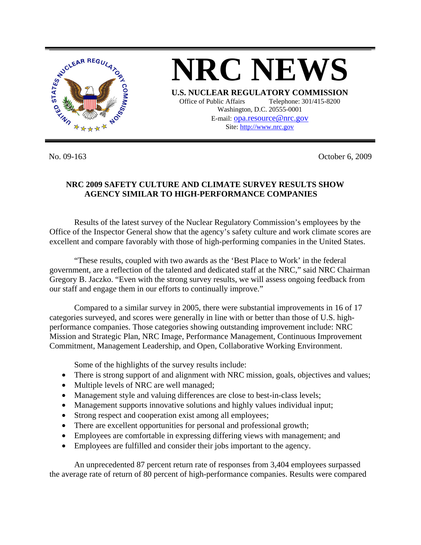

No. 09-163 October 6, 2009

## **NRC 2009 SAFETY CULTURE AND CLIMATE SURVEY RESULTS SHOW AGENCY SIMILAR TO HIGH-PERFORMANCE COMPANIES**

 Results of the latest survey of the Nuclear Regulatory Commission's employees by the Office of the Inspector General show that the agency's safety culture and work climate scores are excellent and compare favorably with those of high-performing companies in the United States.

 "These results, coupled with two awards as the 'Best Place to Work' in the federal government, are a reflection of the talented and dedicated staff at the NRC," said NRC Chairman Gregory B. Jaczko. "Even with the strong survey results, we will assess ongoing feedback from our staff and engage them in our efforts to continually improve."

 Compared to a similar survey in 2005, there were substantial improvements in 16 of 17 categories surveyed, and scores were generally in line with or better than those of U.S. highperformance companies. Those categories showing outstanding improvement include: NRC Mission and Strategic Plan, NRC Image, Performance Management, Continuous Improvement Commitment, Management Leadership, and Open, Collaborative Working Environment.

Some of the highlights of the survey results include:

- There is strong support of and alignment with NRC mission, goals, objectives and values;
- Multiple levels of NRC are well managed;
- Management style and valuing differences are close to best-in-class levels;
- Management supports innovative solutions and highly values individual input;
- Strong respect and cooperation exist among all employees;
- There are excellent opportunities for personal and professional growth;
- Employees are comfortable in expressing differing views with management; and
- Employees are fulfilled and consider their jobs important to the agency.

 An unprecedented 87 percent return rate of responses from 3,404 employees surpassed the average rate of return of 80 percent of high-performance companies. Results were compared